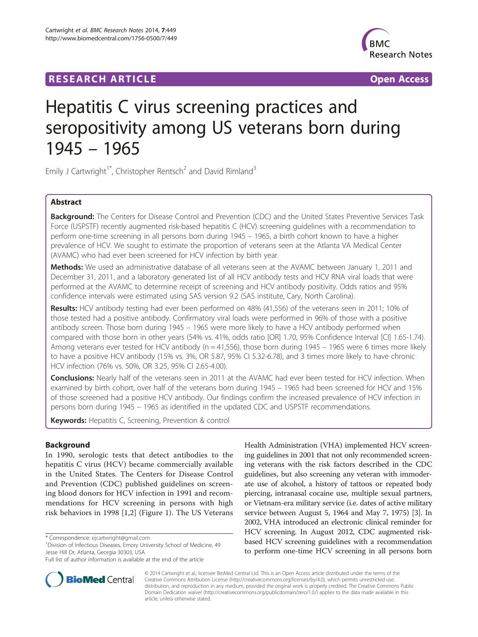## **RESEARCH ARTICLE Example 2014 CONSIDERING A RESEARCH ARTICLE**



# Hepatitis C virus screening practices and seropositivity among US veterans born during 1945 – 1965

Emily J Cartwright<sup>1\*</sup>, Christopher Rentsch<sup>2</sup> and David Rimland<sup>3</sup>

## Abstract

Background: The Centers for Disease Control and Prevention (CDC) and the United States Preventive Services Task Force (USPSTF) recently augmented risk-based hepatitis C (HCV) screening guidelines with a recommendation to perform one-time screening in all persons born during 1945 – 1965, a birth cohort known to have a higher prevalence of HCV. We sought to estimate the proportion of veterans seen at the Atlanta VA Medical Center (AVAMC) who had ever been screened for HCV infection by birth year.

Methods: We used an administrative database of all veterans seen at the AVAMC between January 1, 2011 and December 31, 2011, and a laboratory generated list of all HCV antibody tests and HCV RNA viral loads that were performed at the AVAMC to determine receipt of screening and HCV antibody positivity. Odds ratios and 95% confidence intervals were estimated using SAS version 9.2 (SAS institute, Cary, North Carolina).

Results: HCV antibody testing had ever been performed on 48% (41,556) of the veterans seen in 2011; 10% of those tested had a positive antibody. Confirmatory viral loads were performed in 96% of those with a positive antibody screen. Those born during 1945 – 1965 were more likely to have a HCV antibody performed when compared with those born in other years (54% vs. 41%, odds ratio [OR] 1.70, 95% Confidence Interval [CI] 1.65-1.74). Among veterans ever tested for HCV antibody (n = 41,556), those born during 1945 – 1965 were 6 times more likely to have a positive HCV antibody (15% vs. 3%, OR 5.87, 95% CI 5.32-6.78), and 3 times more likely to have chronic HCV infection (76% vs. 50%, OR 3.25, 95% CI 2.65-4.00).

**Conclusions:** Nearly half of the veterans seen in 2011 at the AVAMC had ever been tested for HCV infection. When examined by birth cohort, over half of the veterans born during 1945 – 1965 had been screened for HCV and 15% of those screened had a positive HCV antibody. Our findings confirm the increased prevalence of HCV infection in persons born during 1945 – 1965 as identified in the updated CDC and USPSTF recommendations.

Keywords: Hepatitis C, Screening, Prevention & control

## Background

In 1990, serologic tests that detect antibodies to the hepatitis C virus (HCV) became commercially available in the United States. The Centers for Disease Control and Prevention (CDC) published guidelines on screening blood donors for HCV infection in 1991 and recommendations for HCV screening in persons with high risk behaviors in 1998 [[1,2\]](#page-4-0) (Figure [1\)](#page-1-0). The US Veterans

\* Correspondence: [ejcartwright@gmail.com](mailto:ejcartwright@gmail.com) <sup>1</sup>

<sup>1</sup> Division of Infectious Diseases, Emory University School of Medicine, 49 Jesse Hill Dr, Atlanta, Georgia 30303, USA

Health Administration (VHA) implemented HCV screening guidelines in 2001 that not only recommended screening veterans with the risk factors described in the CDC guidelines, but also screening any veteran with immoderate use of alcohol, a history of tattoos or repeated body piercing, intranasal cocaine use, multiple sexual partners, or Vietnam-era military service (i.e. dates of active military service between August 5, 1964 and May 7, 1975) [\[3](#page-4-0)]. In 2002, VHA introduced an electronic clinical reminder for HCV screening. In August 2012, CDC augmented riskbased HCV screening guidelines with a recommendation to perform one-time HCV screening in all persons born



© 2014 Cartwright et al.; licensee BioMed Central Ltd. This is an Open Access article distributed under the terms of the Creative Commons Attribution License (<http://creativecommons.org/licenses/by/4.0>), which permits unrestricted use, distribution, and reproduction in any medium, provided the original work is properly credited. The Creative Commons Public Domain Dedication waiver [\(http://creativecommons.org/publicdomain/zero/1.0/\)](http://creativecommons.org/publicdomain/zero/1.0/) applies to the data made available in this article, unless otherwise stated.

Full list of author information is available at the end of the article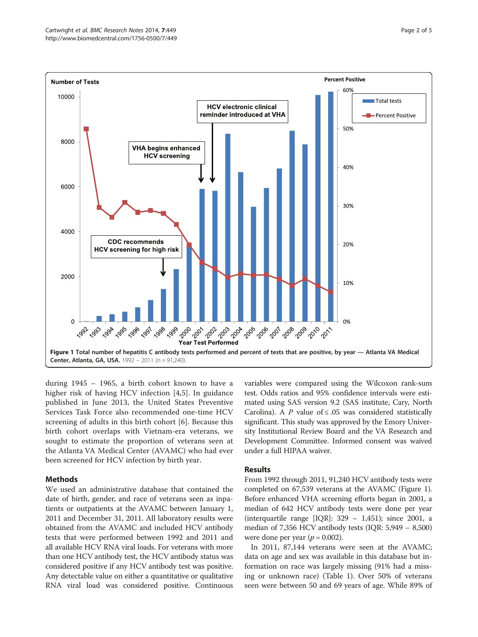<span id="page-1-0"></span>

during 1945 – 1965, a birth cohort known to have a higher risk of having HCV infection [[4,5](#page-4-0)]. In guidance published in June 2013, the United States Preventive Services Task Force also recommended one-time HCV screening of adults in this birth cohort [\[6](#page-4-0)]. Because this birth cohort overlaps with Vietnam-era veterans, we sought to estimate the proportion of veterans seen at the Atlanta VA Medical Center (AVAMC) who had ever been screened for HCV infection by birth year.

## Methods

We used an administrative database that contained the date of birth, gender, and race of veterans seen as inpatients or outpatients at the AVAMC between January 1, 2011 and December 31, 2011. All laboratory results were obtained from the AVAMC and included HCV antibody tests that were performed between 1992 and 2011 and all available HCV RNA viral loads. For veterans with more than one HCV antibody test, the HCV antibody status was considered positive if any HCV antibody test was positive. Any detectable value on either a quantitative or qualitative RNA viral load was considered positive. Continuous variables were compared using the Wilcoxon rank-sum test. Odds ratios and 95% confidence intervals were estimated using SAS version 9.2 (SAS institute, Cary, North Carolina). A P value of  $\leq$  05 was considered statistically significant. This study was approved by the Emory University Institutional Review Board and the VA Research and Development Committee. Informed consent was waived under a full HIPAA waiver.

## Results

From 1992 through 2011, 91,240 HCV antibody tests were completed on 67,539 veterans at the AVAMC (Figure 1). Before enhanced VHA screening efforts began in 2001, a median of 642 HCV antibody tests were done per year (interquartile range [IQR]: 329 – 1,451); since 2001, a median of 7,356 HCV antibody tests (IQR: 5,949 – 8,500) were done per year ( $p = 0.002$ ).

In 2011, 87,144 veterans were seen at the AVAMC; data on age and sex was available in this database but information on race was largely missing (91% had a missing or unknown race) (Table [1\)](#page-2-0). Over 50% of veterans seen were between 50 and 69 years of age. While 89% of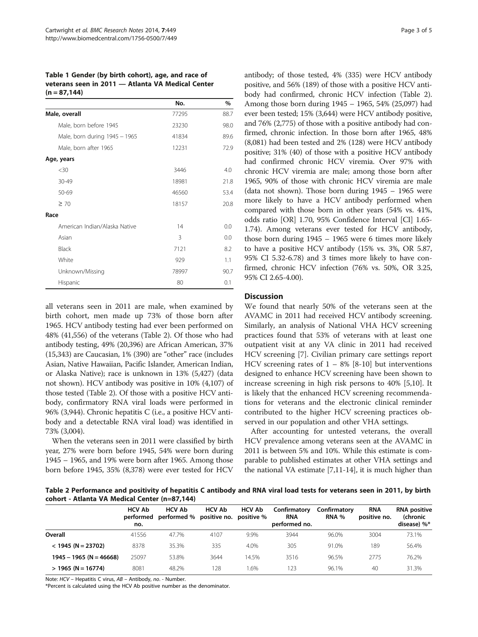<span id="page-2-0"></span>Table 1 Gender (by birth cohort), age, and race of veterans seen in 2011 — Atlanta VA Medical Center  $(n = 87, 144)$ 

|                               | No.   | %    |
|-------------------------------|-------|------|
| Male, overall                 | 77295 | 88.7 |
| Male, born before 1945        | 23230 | 98.0 |
| Male, born during 1945 - 1965 | 41834 | 89.6 |
| Male, born after 1965         | 12231 | 72.9 |
| Age, years                    |       |      |
| $30$                          | 3446  | 4.0  |
| 30-49                         | 18981 | 21.8 |
| 50-69                         | 46560 | 53.4 |
| $\geq 70$                     | 18157 | 20.8 |
| Race                          |       |      |
| American Indian/Alaska Native | 14    | 0.0  |
| Asian                         | 3     | 0.0  |
| Black                         | 7121  | 8.2  |
| White                         | 929   | 1.1  |
| Unknown/Missing               | 78997 | 90.7 |
| Hispanic                      | 80    | 0.1  |

all veterans seen in 2011 are male, when examined by birth cohort, men made up 73% of those born after 1965. HCV antibody testing had ever been performed on 48% (41,556) of the veterans (Table 2). Of those who had antibody testing, 49% (20,396) are African American, 37% (15,343) are Caucasian, 1% (390) are "other" race (includes Asian, Native Hawaiian, Pacific Islander, American Indian, or Alaska Native); race is unknown in 13% (5,427) (data not shown). HCV antibody was positive in 10% (4,107) of those tested (Table 2). Of those with a positive HCV antibody, confirmatory RNA viral loads were performed in 96% (3,944). Chronic hepatitis C (i.e., a positive HCV antibody and a detectable RNA viral load) was identified in 73% (3,004).

When the veterans seen in 2011 were classified by birth year, 27% were born before 1945, 54% were born during 1945 – 1965, and 19% were born after 1965. Among those born before 1945, 35% (8,378) were ever tested for HCV

antibody; of those tested, 4% (335) were HCV antibody positive, and 56% (189) of those with a positive HCV antibody had confirmed, chronic HCV infection (Table 2). Among those born during 1945 – 1965, 54% (25,097) had ever been tested; 15% (3,644) were HCV antibody positive, and 76% (2,775) of those with a positive antibody had confirmed, chronic infection. In those born after 1965, 48% (8,081) had been tested and 2% (128) were HCV antibody positive; 31% (40) of those with a positive HCV antibody had confirmed chronic HCV viremia. Over 97% with chronic HCV viremia are male; among those born after 1965, 90% of those with chronic HCV viremia are male (data not shown). Those born during 1945 – 1965 were more likely to have a HCV antibody performed when compared with those born in other years (54% vs. 41%, odds ratio [OR] 1.70, 95% Confidence Interval [CI] 1.65- 1.74). Among veterans ever tested for HCV antibody, those born during 1945 – 1965 were 6 times more likely to have a positive HCV antibody (15% vs. 3%, OR 5.87, 95% CI 5.32-6.78) and 3 times more likely to have confirmed, chronic HCV infection (76% vs. 50%, OR 3.25, 95% CI 2.65-4.00).

## **Discussion**

We found that nearly 50% of the veterans seen at the AVAMC in 2011 had received HCV antibody screening. Similarly, an analysis of National VHA HCV screening practices found that 53% of veterans with at least one outpatient visit at any VA clinic in 2011 had received HCV screening [\[7](#page-4-0)]. Civilian primary care settings report HCV screening rates of  $1 - 8\%$  [\[8](#page-4-0)-[10\]](#page-4-0) but interventions designed to enhance HCV screening have been shown to increase screening in high risk persons to 40% [\[5,10](#page-4-0)]. It is likely that the enhanced HCV screening recommendations for veterans and the electronic clinical reminder contributed to the higher HCV screening practices observed in our population and other VHA settings.

After accounting for untested veterans, the overall HCV prevalence among veterans seen at the AVAMC in 2011 is between 5% and 10%. While this estimate is comparable to published estimates at other VHA settings and the national VA estimate [[7,11](#page-4-0)-[14](#page-4-0)], it is much higher than

Table 2 Performance and positivity of hepatitis C antibody and RNA viral load tests for veterans seen in 2011, by birth cohort - Atlanta VA Medical Center (n=87,144)

|                           | <b>HCV Ab</b><br>performed<br>no. | <b>HCV Ab</b><br>performed % positive no. positive % | <b>HCV Ab</b> | <b>HCV Ab</b> | Confirmatory<br><b>RNA</b><br>performed no. | Confirmatory<br><b>RNA %</b> | <b>RNA</b><br>positive no. | <b>RNA</b> positive<br><b>(chronic</b><br>disease) %* |
|---------------------------|-----------------------------------|------------------------------------------------------|---------------|---------------|---------------------------------------------|------------------------------|----------------------------|-------------------------------------------------------|
| Overall                   | 41556                             | 47.7%                                                | 4107          | 9.9%          | 3944                                        | 96.0%                        | 3004                       | 73.1%                                                 |
| $<$ 1945 (N = 23702)      | 8378                              | 35.3%                                                | 335           | 4.0%          | 305                                         | 91.0%                        | 189                        | 56.4%                                                 |
| $1945 - 1965$ (N = 46668) | 25097                             | 53.8%                                                | 3644          | 14.5%         | 3516                                        | 96.5%                        | 2775                       | 76.2%                                                 |
| $>$ 1965 (N = 16774)      | 8081                              | 48.2%                                                | 28            | .6%           | 123                                         | 96.1%                        | 40                         | 31.3%                                                 |

Note: HCV – Hepatitis C virus, AB – Antibody, no. - Number.

\*Percent is calculated using the HCV Ab positive number as the denominator.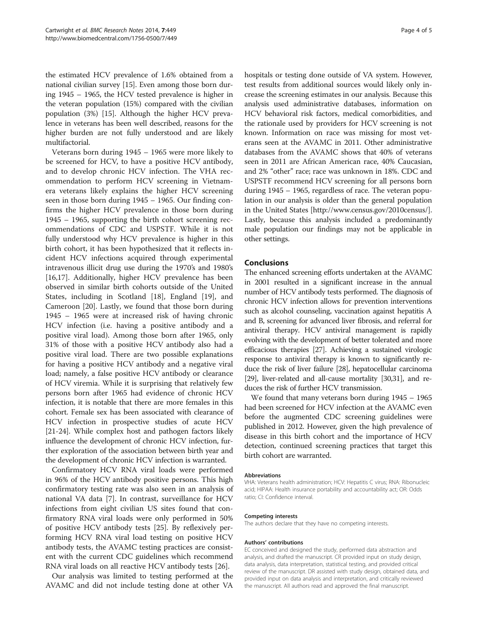the estimated HCV prevalence of 1.6% obtained from a national civilian survey [[15](#page-4-0)]. Even among those born during 1945 – 1965, the HCV tested prevalence is higher in the veteran population (15%) compared with the civilian population (3%) [\[15\]](#page-4-0). Although the higher HCV prevalence in veterans has been well described, reasons for the higher burden are not fully understood and are likely multifactorial.

Veterans born during 1945 – 1965 were more likely to be screened for HCV, to have a positive HCV antibody, and to develop chronic HCV infection. The VHA recommendation to perform HCV screening in Vietnamera veterans likely explains the higher HCV screening seen in those born during 1945 – 1965. Our finding confirms the higher HCV prevalence in those born during 1945 – 1965, supporting the birth cohort screening recommendations of CDC and USPSTF. While it is not fully understood why HCV prevalence is higher in this birth cohort, it has been hypothesized that it reflects incident HCV infections acquired through experimental intravenous illicit drug use during the 1970's and 1980's [[16,17\]](#page-4-0). Additionally, higher HCV prevalence has been observed in similar birth cohorts outside of the United States, including in Scotland [\[18\]](#page-4-0), England [\[19](#page-4-0)], and Cameroon [\[20\]](#page-4-0). Lastly, we found that those born during 1945 – 1965 were at increased risk of having chronic HCV infection (i.e. having a positive antibody and a positive viral load). Among those born after 1965, only 31% of those with a positive HCV antibody also had a positive viral load. There are two possible explanations for having a positive HCV antibody and a negative viral load; namely, a false positive HCV antibody or clearance of HCV viremia. While it is surprising that relatively few persons born after 1965 had evidence of chronic HCV infection, it is notable that there are more females in this cohort. Female sex has been associated with clearance of HCV infection in prospective studies of acute HCV [[21](#page-4-0)-[24\]](#page-4-0). While complex host and pathogen factors likely influence the development of chronic HCV infection, further exploration of the association between birth year and the development of chronic HCV infection is warranted.

Confirmatory HCV RNA viral loads were performed in 96% of the HCV antibody positive persons. This high confirmatory testing rate was also seen in an analysis of national VA data [\[7\]](#page-4-0). In contrast, surveillance for HCV infections from eight civilian US sites found that confirmatory RNA viral loads were only performed in 50% of positive HCV antibody tests [[25\]](#page-4-0). By reflexively performing HCV RNA viral load testing on positive HCV antibody tests, the AVAMC testing practices are consistent with the current CDC guidelines which recommend RNA viral loads on all reactive HCV antibody tests [\[26\]](#page-4-0).

Our analysis was limited to testing performed at the AVAMC and did not include testing done at other VA

hospitals or testing done outside of VA system. However, test results from additional sources would likely only increase the screening estimates in our analysis. Because this analysis used administrative databases, information on HCV behavioral risk factors, medical comorbidities, and the rationale used by providers for HCV screening is not known. Information on race was missing for most veterans seen at the AVAMC in 2011. Other administrative databases from the AVAMC shows that 40% of veterans seen in 2011 are African American race, 40% Caucasian, and 2% "other" race; race was unknown in 18%. CDC and USPSTF recommend HCV screening for all persons born during 1945 – 1965, regardless of race. The veteran population in our analysis is older than the general population in the United States [\[http://www.census.gov/2010census/](http://www.census.gov/2010census/)]. Lastly, because this analysis included a predominantly male population our findings may not be applicable in other settings.

### Conclusions

The enhanced screening efforts undertaken at the AVAMC in 2001 resulted in a significant increase in the annual number of HCV antibody tests performed. The diagnosis of chronic HCV infection allows for prevention interventions such as alcohol counseling, vaccination against hepatitis A and B, screening for advanced liver fibrosis, and referral for antiviral therapy. HCV antiviral management is rapidly evolving with the development of better tolerated and more efficacious therapies [[27](#page-4-0)]. Achieving a sustained virologic response to antiviral therapy is known to significantly reduce the risk of liver failure [[28](#page-4-0)], hepatocellular carcinoma [[29](#page-4-0)], liver-related and all-cause mortality [\[30,31\]](#page-4-0), and reduces the risk of further HCV transmission.

We found that many veterans born during 1945 – 1965 had been screened for HCV infection at the AVAMC even before the augmented CDC screening guidelines were published in 2012. However, given the high prevalence of disease in this birth cohort and the importance of HCV detection, continued screening practices that target this birth cohort are warranted.

#### Abbreviations

VHA: Veterans health administration; HCV: Hepatitis C virus; RNA: Ribonucleic acid; HIPAA: Health insurance portability and accountability act; OR: Odds ratio; CI: Confidence interval.

#### Competing interests

The authors declare that they have no competing interests.

#### Authors' contributions

EC conceived and designed the study, performed data abstraction and analysis, and drafted the manuscript. CR provided input on study design, data analysis, data interpretation, statistical testing, and provided critical review of the manuscript. DR assisted with study design, obtained data, and provided input on data analysis and interpretation, and critically reviewed the manuscript. All authors read and approved the final manuscript.